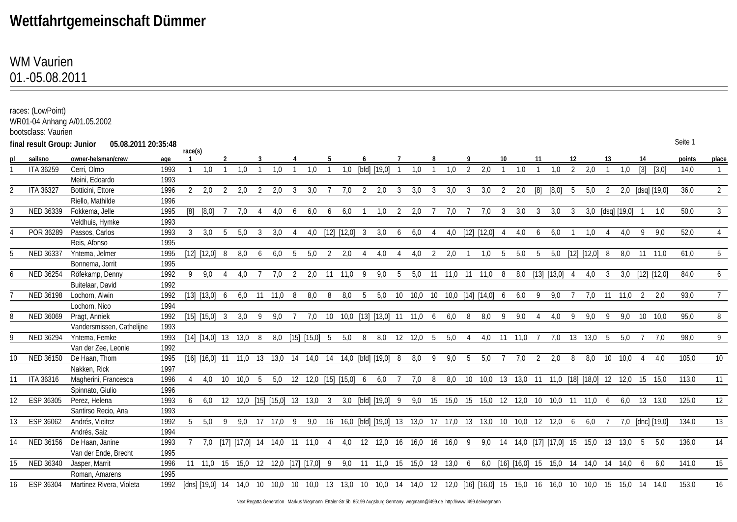## **Wettfahrtgemeinschaft Dümmer**

## 01.-05.08.2011 WM Vaurien

|           | races: (LowPoint)<br>bootsclass: Vaurien | WR01-04 Anhang A/01.05.2002 |      |         |                                                                                                                               |     |                                   |   |         |    |                           |    |               |     |                    |    |                                                                         |     |     |    |                                                     |    |         |     |                 |     |                   |     |                  |   |                  |         |                |
|-----------|------------------------------------------|-----------------------------|------|---------|-------------------------------------------------------------------------------------------------------------------------------|-----|-----------------------------------|---|---------|----|---------------------------|----|---------------|-----|--------------------|----|-------------------------------------------------------------------------|-----|-----|----|-----------------------------------------------------|----|---------|-----|-----------------|-----|-------------------|-----|------------------|---|------------------|---------|----------------|
|           | final result Group: Junior               | 05.08.2011 20:35:48         |      |         |                                                                                                                               |     |                                   |   |         |    |                           |    |               |     |                    |    |                                                                         |     |     |    |                                                     |    |         |     |                 |     |                   |     |                  |   |                  | Seite 1 |                |
| <u>pl</u> | sailsno                                  | owner-helsman/crew          | age  | race(s) |                                                                                                                               |     |                                   |   |         |    |                           |    |               |     |                    |    |                                                                         |     |     |    |                                                     |    |         |     |                 |     |                   |     |                  |   |                  | points  | place          |
|           | ITA 36259                                | Cerri, Olmo                 | 1993 |         | 1.0                                                                                                                           |     | 1,0                               |   | 1.0     |    | 1.0                       |    | 1.0           |     | [bfd] [19,0]       |    | 1.0                                                                     |     | 1.0 | 2  | 2,0                                                 |    | 1.0     |     | 1.0             | 2   | 2,0               |     | 1,0              |   | [3] [3,0]        | 14,0    | $\mathbf{1}$   |
|           |                                          | Meini, Edoardo              | 1993 |         |                                                                                                                               |     |                                   |   |         |    |                           |    |               |     |                    |    |                                                                         |     |     |    |                                                     |    |         |     |                 |     |                   |     |                  |   |                  |         |                |
|           | <b>ITA 36327</b>                         | Botticini, Ettore           | 1996 | 2       | 2,0                                                                                                                           | -2  | 2,0                               |   | 2,0     | 3  | 3,0                       |    | 7,0           | 2   | 2,0                | 3  | 3,0                                                                     | 3   | 3,0 | 3  | 3,0                                                 | -2 | 2,0     | [8] | [8,0]           | - 5 | 5,0               | -2  |                  |   | 2,0 [dsq] [19,0] | 36,0    | $\overline{2}$ |
|           |                                          | Riello, Mathilde            | 1996 |         |                                                                                                                               |     |                                   |   |         |    |                           |    |               |     |                    |    |                                                                         |     |     |    |                                                     |    |         |     |                 |     |                   |     |                  |   |                  |         |                |
|           | NED 36339                                | Fokkema, Jelle              | 1995 |         | $[8] [8,\overline{0}]$                                                                                                        |     | 7,0                               |   | 4.0     | 6  | 6.0                       | 6  | 6,0           |     | 1.0                | 2  | 2,0                                                                     |     | 7,0 |    | 7.0                                                 | -3 | 3,0     | 3   | 3,0             | -3  |                   |     | 3,0 [dsq] [19,0] |   | 1.0              | 50,0    | $\mathbf{3}$   |
|           |                                          | Veldhuis, Hymke             | 1993 |         |                                                                                                                               |     |                                   |   |         |    |                           |    |               |     |                    |    |                                                                         |     |     |    |                                                     |    |         |     |                 |     |                   |     |                  |   |                  |         |                |
|           | POR 36289                                | Passos, Carlos              | 1993 | 3       | 3,0                                                                                                                           | - 5 | 5,0                               | 3 | 3,0     |    | 4,0                       |    | [12] [12,0] 3 |     | 3,0                | 6  | 6,0                                                                     |     | 4,0 |    | [12] [12,0]                                         | -4 | 4,0     | 6   | 6,0             |     | 1.0               |     | 4.0              | 9 | 9.0              | 52,0    | $\overline{4}$ |
|           |                                          | Reis, Afonso                | 1995 |         |                                                                                                                               |     |                                   |   |         |    |                           |    |               |     |                    |    |                                                                         |     |     |    |                                                     |    |         |     |                 |     |                   |     |                  |   |                  |         |                |
|           | NED 36337                                | Yntema, Jelmer              | 1995 |         | $[12] [12,0]$ 8                                                                                                               |     | 8,0                               | 6 | 6,0     | -5 | 5,0                       | 2  | 2,0           | 4   | 4.0                |    | 4,0                                                                     | 2   | 2,0 |    | 1.0                                                 | -5 | 5,0     | 5   |                 |     | 5,0 [12] [12,0] 8 |     | 8,0              |   | 11 11.0          | 61,0    | 5 <sup>5</sup> |
|           |                                          | Bonnema, Jorrit             | 1995 |         |                                                                                                                               |     |                                   |   |         |    |                           |    |               |     |                    |    |                                                                         |     |     |    |                                                     |    |         |     |                 |     |                   |     |                  |   |                  |         |                |
|           | NED 36254                                | Röfekamp, Denny             | 1992 | 9       | 9,0                                                                                                                           | 4   | 4,0                               |   | 7,0     | 2  | 2,0                       | 11 | 11,0          | - 9 | 9,0                | -5 | 5,0                                                                     | 11  |     |    | 11,0 11 11,0 8                                      |    | 8,0     |     | $[13] [13,0]$ 4 |     | 4,0               | - 3 | 3,0              |   | [12] [12,0]      | 84,0    | 6              |
|           |                                          | Buitelaar, David            | 1992 |         |                                                                                                                               |     |                                   |   |         |    |                           |    |               |     |                    |    |                                                                         |     |     |    |                                                     |    |         |     |                 |     |                   |     |                  |   |                  |         |                |
|           | NED 36198                                | Lochorn, Alwin              | 1992 |         | [13] [13,0] 6                                                                                                                 |     | 6,0                               |   | 11 11.0 | -8 | 8.0                       | 8  | 8.0           | -5  | 5.0                | 10 | 10,0                                                                    | 10  |     |    | 10,0 [14] [14,0] 6                                  |    | 6.0     | 9   | 9,0             |     | 7.0               | -11 | 11.0             | 2 | 2.0              | 93.0    | $7^{\circ}$    |
|           |                                          | Lochorn, Nico               | 1994 |         |                                                                                                                               |     |                                   |   |         |    |                           |    |               |     |                    |    |                                                                         |     |     |    |                                                     |    |         |     |                 |     |                   |     |                  |   |                  |         |                |
|           | NED 36069                                | Pragt, Anniek               | 1992 |         | [15] [15,0] 3                                                                                                                 |     | 3,0                               |   | 9,0     |    | 7.0                       | 10 |               |     |                    |    | 10,0 [13] [13,0] 11 11,0                                                | 6   | 6,0 | 8  | 8.0                                                 | 9  | 9.0     |     | 4,0             | 9   | 9.0               | 9   | 9,0              |   | 10 10,0          | 95,0    | 8              |
|           |                                          | Vandersmissen, Cathelijne   | 1993 |         |                                                                                                                               |     |                                   |   |         |    |                           |    |               |     |                    |    |                                                                         |     |     |    |                                                     |    |         |     |                 |     |                   |     |                  |   |                  |         |                |
| q         | NED 36294                                | Yntema, Femke               | 1993 |         | $[14] [14,0]$ 13 13,0 8                                                                                                       |     |                                   |   |         |    | 8,0 [15] [15,0] 5         |    | 5,0           | 8   |                    |    | 8,0 12 12,0                                                             | - 5 | 5,0 |    | 4,0                                                 |    | 11 11,0 |     | 7,0             |     | 13 13,0 5         |     | 5.0              |   | 7.0              | 98,0    | 9              |
|           |                                          | Van der Zee, Leonie         | 1992 |         |                                                                                                                               |     |                                   |   |         |    |                           |    |               |     |                    |    |                                                                         |     |     |    |                                                     |    |         |     |                 |     |                   |     |                  |   |                  |         |                |
| 10        | NED 36150                                | De Haan, Thom               | 1995 |         | $[16]$ $[16,0]$ 11 11,0 13 13,0 14 14,0 14 14,0 $[bfd]$ $[19,0]$ 8                                                            |     |                                   |   |         |    |                           |    |               |     |                    |    | 8,0                                                                     | - 9 | 9,0 | -5 | 5,0                                                 |    | 7,0     | 2   | 2,0             | - 8 | 8,0               |     | 10 10.0          |   | 4.0              | 105,0   | 10             |
|           |                                          | Nakken, Rick                | 1997 |         |                                                                                                                               |     |                                   |   |         |    |                           |    |               |     |                    |    |                                                                         |     |     |    |                                                     |    |         |     |                 |     |                   |     |                  |   |                  |         |                |
|           | <b>ITA 36316</b>                         | Magherini, Francesca        | 1996 |         |                                                                                                                               |     | 4,0 10 10,0 5                     |   |         |    | 5,0 12 12,0 [15] [15,0] 6 |    |               |     | 6,0 7              |    | 7,0                                                                     | - 8 | 8,0 |    | 10 10,0 13 13,0 11 11,0 [18] [18,0] 12 12,0 15 15,0 |    |         |     |                 |     |                   |     |                  |   |                  | 113.0   | 11             |
|           |                                          | Spinnato, Giulio            | 1996 |         |                                                                                                                               |     |                                   |   |         |    |                           |    |               |     |                    |    |                                                                         |     |     |    |                                                     |    |         |     |                 |     |                   |     |                  |   |                  |         |                |
| 12        | ESP 36305                                | Perez, Helena               | 1993 |         |                                                                                                                               |     | 6,0 12 12,0 [15] [15,0] 13 13,0 3 |   |         |    |                           |    |               |     | 3,0 [bfd] [19,0] 9 |    |                                                                         |     |     |    | 9,0 15 15,0 15 15,0 12 12,0 10 10,0 11 11,0 6       |    |         |     |                 |     |                   |     |                  |   | $6.0$ 13 13.0    | 125,0   | 12             |
|           |                                          | Santirso Recio, Ana         | 1993 |         |                                                                                                                               |     |                                   |   |         |    |                           |    |               |     |                    |    |                                                                         |     |     |    |                                                     |    |         |     |                 |     |                   |     |                  |   |                  |         |                |
| 13        | ESP 36062                                | Andrés, Vieitez             | 1992 |         |                                                                                                                               |     | 5,0 9 9,0 17 17,0 9               |   |         |    |                           |    |               |     |                    |    | 9,0 16 16,0 [bfd] [19,0] 13 13,0 17 17,0 13 13,0 10 10,0 12 12,0 6      |     |     |    |                                                     |    |         |     |                 |     | 6,0               |     |                  |   | 7,0 [dnc] [19,0] | 134,0   | 13             |
|           |                                          | Andrés, Saiz                | 1994 |         |                                                                                                                               |     |                                   |   |         |    |                           |    |               |     |                    |    |                                                                         |     |     |    |                                                     |    |         |     |                 |     |                   |     |                  |   |                  |         |                |
| 14        | NED 36156                                | De Haan, Janine             | 1993 |         |                                                                                                                               |     | 7,0 [17] [17,0] 14 14,0 11 11,0 4 |   |         |    |                           |    |               |     |                    |    | 4,0 12 12,0 16 16,0 16 16,0 9 9,0 14 14,0 [17] [17,0] 15 15,0 13 13,0 5 |     |     |    |                                                     |    |         |     |                 |     |                   |     |                  |   | -5.0             | 136,0   | 14             |
|           |                                          | Van der Ende, Brecht        | 1995 |         |                                                                                                                               |     |                                   |   |         |    |                           |    |               |     |                    |    |                                                                         |     |     |    |                                                     |    |         |     |                 |     |                   |     |                  |   |                  |         |                |
| 15        | NED 36340                                | Jasper, Marrit              | 1996 |         | 11 11,0 15 15,0 12 12,0 [17] [17,0] 9 9,0 11 11,0 15 15,0 13 13,0 6 6,0 [16] [16,0] 15 15,0 14 14,0 14 14,0 6                 |     |                                   |   |         |    |                           |    |               |     |                    |    |                                                                         |     |     |    |                                                     |    |         |     |                 |     |                   |     |                  |   | 6.0              | 141,0   | 15             |
|           |                                          | Roman, Amarens              | 1995 |         |                                                                                                                               |     |                                   |   |         |    |                           |    |               |     |                    |    |                                                                         |     |     |    |                                                     |    |         |     |                 |     |                   |     |                  |   |                  |         |                |
|           | 16 ESP 36304                             | Martinez Rivera, Violeta    |      |         | 1992 [dns] [19,0] 14 14,0 10 10,0 10 10,0 13 13,0 10 10,0 14 14,0 12 12,0 [16] [16,0] 15 15,0 16 16,0 10 10,0 15 15,0 14 14,0 |     |                                   |   |         |    |                           |    |               |     |                    |    |                                                                         |     |     |    |                                                     |    |         |     |                 |     |                   |     |                  |   |                  | 153,0   | 16             |